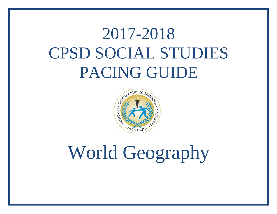## 2017-2018 CPSD SOCIAL STUDIES PACING GUIDE



## World Geography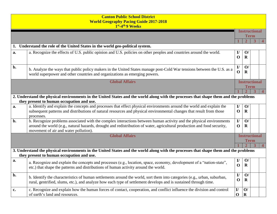|                       | <b>Canton Public School District</b><br><b>World Geography Pacing Guide 2017-2018</b><br>1 <sup>st</sup> -4 <sup>th</sup> 9 Weeks                                                                                                                                                        |                                     |                          |  |  |
|-----------------------|------------------------------------------------------------------------------------------------------------------------------------------------------------------------------------------------------------------------------------------------------------------------------------------|-------------------------------------|--------------------------|--|--|
|                       |                                                                                                                                                                                                                                                                                          | <b>Instructional</b><br><b>Term</b> |                          |  |  |
|                       |                                                                                                                                                                                                                                                                                          |                                     | $\mathbf{2}$             |  |  |
|                       | 1. Understand the role of the United States in the world geo-political system.                                                                                                                                                                                                           |                                     |                          |  |  |
| a.                    | a. Recognize the effects of U.S. public opinion and U.S. policies on other peoples and countries around the world.                                                                                                                                                                       | $\mathbf{I}/$<br>$\mathbf 0$        | O/<br>$\bf{R}$           |  |  |
| b.                    | b. Analyze the ways that public policy makers in the United States manage post-Cold War tensions between the U.S. as a<br>world superpower and other countries and organizations as emerging powers.                                                                                     | $\mathbf{I}/$<br>$\mathbf{O}$       | O/<br>$\bf{R}$           |  |  |
|                       | <b>Global Affairs</b>                                                                                                                                                                                                                                                                    | <b>Instructional</b>                |                          |  |  |
|                       |                                                                                                                                                                                                                                                                                          |                                     | <b>Term</b>              |  |  |
|                       | 2. Understand the physical environments in the United States and the world along with the processes that shape them and the problems                                                                                                                                                     |                                     |                          |  |  |
|                       | they present to human occupation and use.                                                                                                                                                                                                                                                |                                     |                          |  |  |
| a.                    | a. Identify and explain the concepts and processes that effect physical environments around the world and explain the                                                                                                                                                                    | $\mathbf{I}/$                       | O/                       |  |  |
|                       | subsequent patterns and distributions of natural resources and physical environmental changes that result from those                                                                                                                                                                     | $\mathbf 0$                         | $\mathbf R$              |  |  |
|                       | processes.                                                                                                                                                                                                                                                                               |                                     |                          |  |  |
| b.                    | b. Recognize problems associated with the complex interactions between human activity and the physical environments<br>around the world (e.g., natural hazards, drought and redistribution of water, agricultural production and food security,<br>movement of air and water pollution). | $\mathbf{I}/$<br>$\mathbf 0$        | $\mathbf{O}/$<br>$\bf R$ |  |  |
| <b>Global Affairs</b> |                                                                                                                                                                                                                                                                                          |                                     | <b>Instructional</b>     |  |  |
|                       |                                                                                                                                                                                                                                                                                          | <b>Term</b>                         |                          |  |  |
|                       |                                                                                                                                                                                                                                                                                          |                                     |                          |  |  |
|                       | 3. Understand the physical environments in the United States and the world along with the processes that shape them and the problems<br>they present to human occupation and use.                                                                                                        |                                     |                          |  |  |
| a.                    | a. Recognize and explain the concepts and processes (e.g., location, space, economy, development of a "nation-state",                                                                                                                                                                    | $\mathbf{I}/$                       | O/                       |  |  |
|                       | etc.) that shape the patterns and distributions of human activity around the world.                                                                                                                                                                                                      | $\mathbf 0$                         | R                        |  |  |
| b.                    | b. Identify the characteristics of human settlements around the world, sort them into categories (e.g., urban, suburban,                                                                                                                                                                 | $\mathbf{I}/$                       | O                        |  |  |
|                       | rural, gentrified, slums, etc.), and analyze how each type of settlement develops and is sustained through time.                                                                                                                                                                         | $\mathbf 0$                         | $\mathbf R$              |  |  |
| c.                    | c. Recognize and explain how the human forces of contact, cooperation, and conflict influence the division and control                                                                                                                                                                   | I/                                  | $\mathbf{O}/$            |  |  |
|                       | of earth's land and resources.                                                                                                                                                                                                                                                           | $\mathbf 0$                         | $\mathbf R$              |  |  |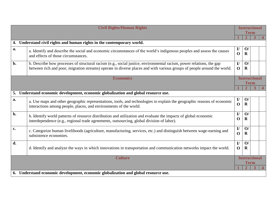|                | <b>Civil Rights/Human Rights</b>                                                                                                                                                                                                                |                                     | <b>Instructional</b><br><b>Term</b> |   |  |
|----------------|-------------------------------------------------------------------------------------------------------------------------------------------------------------------------------------------------------------------------------------------------|-------------------------------------|-------------------------------------|---|--|
|                |                                                                                                                                                                                                                                                 |                                     |                                     |   |  |
|                | 4. Understand civil rights and human rights in the contemporary world.                                                                                                                                                                          |                                     |                                     |   |  |
| a.             | a. Identify and describe the social and economic circumstances of the world's indigenous peoples and assess the causes<br>and effects of those circumstances.                                                                                   | $\mathbf{I}/$<br>$\mathbf{O}$       | $\mathbf{O}/$<br>$\mathbf R$        |   |  |
| b.             | b. Describe how processes of structural racism (e.g., social justice, environmental racism, power relations, the gap<br>between rich and poor, migration streams) operate in diverse places and with various groups of people around the world. | $\mathbf{I}/$<br>$\mathbf 0$        | $\mathbf{O}/$<br>$\mathbf R$        |   |  |
|                | <b>Economics</b>                                                                                                                                                                                                                                | <b>Instructional</b><br><b>Term</b> |                                     |   |  |
|                |                                                                                                                                                                                                                                                 |                                     | $\mathbf{2}$                        | 3 |  |
|                | 5. Understand economic development, economic globalization and global resource use.                                                                                                                                                             |                                     |                                     |   |  |
| a.             | a. Use maps and other geographic representations, tools, and technologies to explain the geographic reasons of economic<br>interactions among people, places, and environments of the world.                                                    | $\mathbf{I}/$<br>$\mathbf 0$        | $\mathbf{O}/$<br>$\mathbf R$        |   |  |
| b.             | b. Identify world patterns of resource distribution and utilization and evaluate the impacts of global economic<br>interdependence (e.g., regional trade agreements, outsourcing, global division of labor).                                    | $\mathbf{I}/$<br>$\mathbf 0$        | $\mathbf{O}/$<br>$\mathbf R$        |   |  |
| c.             | c. Categorize human livelihoods (agriculture, manufacturing, services, etc.) and distinguish between wage-earning and<br>subsistence economies.                                                                                                 | $\mathbf{I}$<br>$\mathbf 0$         | $\mathbf{O}/$<br>$\mathbf R$        |   |  |
| d.             | d. Identify and analyze the ways in which innovations in transportation and communication networks impact the world.                                                                                                                            | $\mathbf{I}/$<br>$\mathbf 0$        | $\mathbf{O}/$<br>$\mathbf R$        |   |  |
| <b>Culture</b> |                                                                                                                                                                                                                                                 |                                     | <b>Instructional</b><br>Term        |   |  |
|                |                                                                                                                                                                                                                                                 |                                     |                                     |   |  |
|                | 6. Understand economic development, economic globalization and global resource use.                                                                                                                                                             |                                     |                                     |   |  |